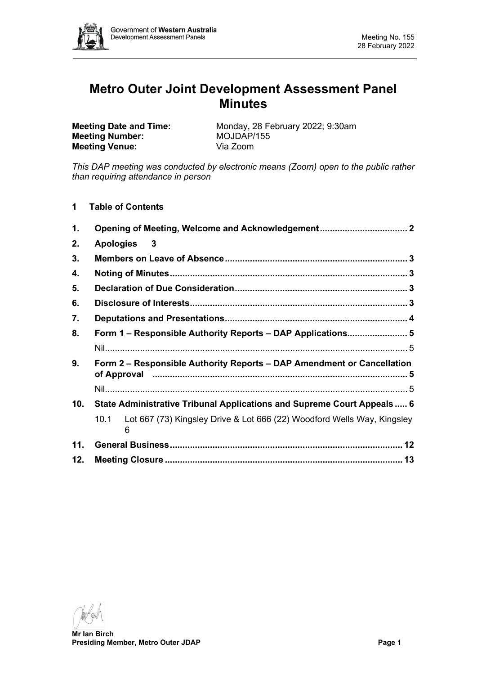

# **Metro Outer Joint Development Assessment Panel Minutes**

**Meeting Date and Time:** Monday, 28 February 2022; 9:30am<br> **Meeting Number:** MOJDAP/155 **Meeting Number:** MOJDAP/<br> **Meeting Venue:** Via Zoom **Meeting Venue:** 

*This DAP meeting was conducted by electronic means (Zoom) open to the public rather than requiring attendance in person*

**1 Table of Contents**

| $\mathbf{1}$ .                                                                                                                                                      |                                                                                   |  |  |  |  |  |
|---------------------------------------------------------------------------------------------------------------------------------------------------------------------|-----------------------------------------------------------------------------------|--|--|--|--|--|
| 2.                                                                                                                                                                  | <b>Apologies</b><br>$\overline{\mathbf{3}}$                                       |  |  |  |  |  |
| 3.                                                                                                                                                                  |                                                                                   |  |  |  |  |  |
| 4.                                                                                                                                                                  |                                                                                   |  |  |  |  |  |
| 5.                                                                                                                                                                  |                                                                                   |  |  |  |  |  |
| 6.                                                                                                                                                                  |                                                                                   |  |  |  |  |  |
| 7.                                                                                                                                                                  |                                                                                   |  |  |  |  |  |
| 8.                                                                                                                                                                  | Form 1 - Responsible Authority Reports - DAP Applications 5                       |  |  |  |  |  |
|                                                                                                                                                                     |                                                                                   |  |  |  |  |  |
| 9.<br>Form 2 – Responsible Authority Reports – DAP Amendment or Cancellation<br>of Approval manual manual contract of Approval manual contract of Approval manual 5 |                                                                                   |  |  |  |  |  |
|                                                                                                                                                                     |                                                                                   |  |  |  |  |  |
| 10.                                                                                                                                                                 | State Administrative Tribunal Applications and Supreme Court Appeals  6           |  |  |  |  |  |
|                                                                                                                                                                     | 10.1 Lot 667 (73) Kingsley Drive & Lot 666 (22) Woodford Wells Way, Kingsley<br>6 |  |  |  |  |  |
| 11.                                                                                                                                                                 |                                                                                   |  |  |  |  |  |
| 12.                                                                                                                                                                 |                                                                                   |  |  |  |  |  |

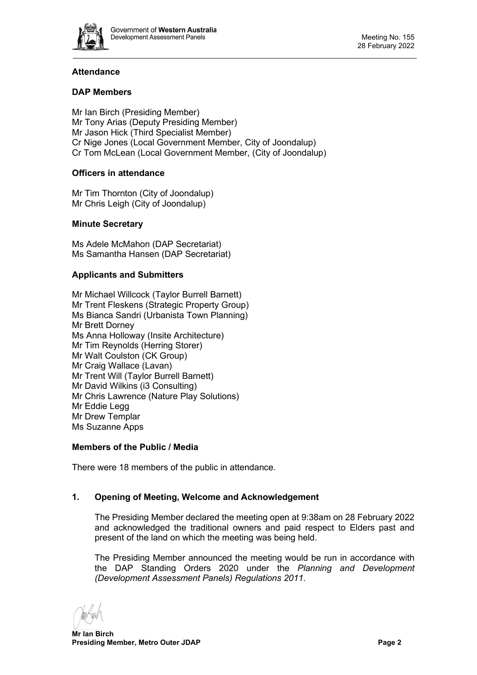

# **Attendance**

# **DAP Members**

Mr Ian Birch (Presiding Member) Mr Tony Arias (Deputy Presiding Member) Mr Jason Hick (Third Specialist Member) Cr Nige Jones (Local Government Member, City of Joondalup) Cr Tom McLean (Local Government Member, (City of Joondalup)

## **Officers in attendance**

Mr Tim Thornton (City of Joondalup) Mr Chris Leigh (City of Joondalup)

# **Minute Secretary**

Ms Adele McMahon (DAP Secretariat) Ms Samantha Hansen (DAP Secretariat)

## **Applicants and Submitters**

Mr Michael Willcock (Taylor Burrell Barnett) Mr Trent Fleskens (Strategic Property Group) Ms Bianca Sandri (Urbanista Town Planning) Mr Brett Dorney Ms Anna Holloway (Insite Architecture) Mr Tim Reynolds (Herring Storer) Mr Walt Coulston (CK Group) Mr Craig Wallace (Lavan) Mr Trent Will (Taylor Burrell Barnett) Mr David Wilkins (i3 Consulting) Mr Chris Lawrence (Nature Play Solutions) Mr Eddie Legg Mr Drew Templar Ms Suzanne Apps

## **Members of the Public / Media**

There were 18 members of the public in attendance.

## <span id="page-1-0"></span>**1. Opening of Meeting, Welcome and Acknowledgement**

The Presiding Member declared the meeting open at 9:38am on 28 February 2022 and acknowledged the traditional owners and paid respect to Elders past and present of the land on which the meeting was being held.

The Presiding Member announced the meeting would be run in accordance with the DAP Standing Orders 2020 under the *Planning and Development (Development Assessment Panels) Regulations 2011.*

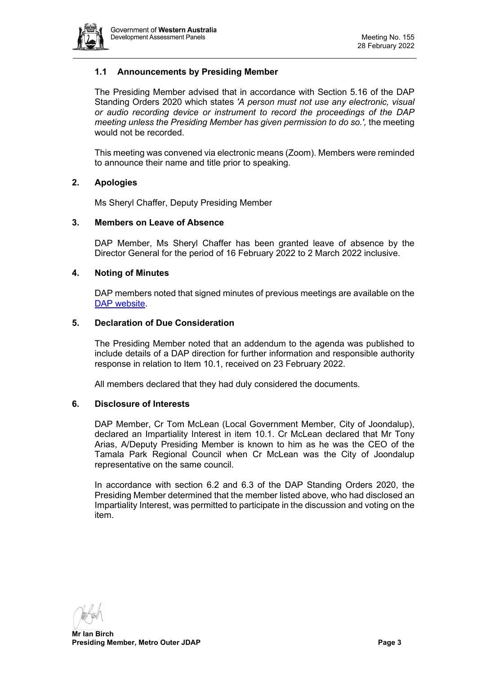

# **1.1 Announcements by Presiding Member**

The Presiding Member advised that in accordance with Section 5.16 of the DAP Standing Orders 2020 which states *'A person must not use any electronic, visual or audio recording device or instrument to record the proceedings of the DAP meeting unless the Presiding Member has given permission to do so.',* the meeting would not be recorded.

This meeting was convened via electronic means (Zoom). Members were reminded to announce their name and title prior to speaking.

#### <span id="page-2-0"></span>**2. Apologies**

Ms Sheryl Chaffer, Deputy Presiding Member

#### <span id="page-2-1"></span>**3. Members on Leave of Absence**

DAP Member, Ms Sheryl Chaffer has been granted leave of absence by the Director General for the period of 16 February 2022 to 2 March 2022 inclusive.

#### <span id="page-2-2"></span>**4. Noting of Minutes**

DAP members noted that signed minutes of previous meetings are available on the [DAP website.](https://www.dplh.wa.gov.au/about/development-assessment-panels/daps-agendas-and-minutes)

#### <span id="page-2-3"></span>**5. Declaration of Due Consideration**

The Presiding Member noted that an addendum to the agenda was published to include details of a DAP direction for further information and responsible authority response in relation to Item 10.1, received on 23 February 2022.

All members declared that they had duly considered the documents.

#### <span id="page-2-4"></span>**6. Disclosure of Interests**

DAP Member, Cr Tom McLean (Local Government Member, City of Joondalup), declared an Impartiality Interest in item 10.1. Cr McLean declared that Mr Tony Arias, A/Deputy Presiding Member is known to him as he was the CEO of the Tamala Park Regional Council when Cr McLean was the City of Joondalup representative on the same council.

In accordance with section 6.2 and 6.3 of the DAP Standing Orders 2020, the Presiding Member determined that the member listed above, who had disclosed an Impartiality Interest, was permitted to participate in the discussion and voting on the item.

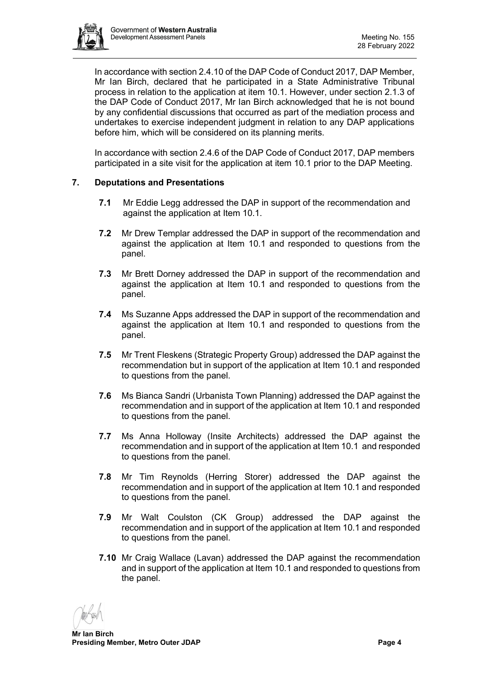

In accordance with section 2.4.10 of the DAP Code of Conduct 2017, DAP Member, Mr Ian Birch, declared that he participated in a State Administrative Tribunal process in relation to the application at item 10.1. However, under section 2.1.3 of the DAP Code of Conduct 2017, Mr Ian Birch acknowledged that he is not bound by any confidential discussions that occurred as part of the mediation process and undertakes to exercise independent judgment in relation to any DAP applications before him, which will be considered on its planning merits.

In accordance with section 2.4.6 of the DAP Code of Conduct 2017, DAP members participated in a site visit for the application at item 10.1 prior to the DAP Meeting.

## <span id="page-3-0"></span>**7. Deputations and Presentations**

- **7.1** Mr Eddie Legg addressed the DAP in support of the recommendation and against the application at Item 10.1.
- **7.2** Mr Drew Templar addressed the DAP in support of the recommendation and against the application at Item 10.1 and responded to questions from the panel.
- **7.3** Mr Brett Dorney addressed the DAP in support of the recommendation and against the application at Item 10.1 and responded to questions from the panel.
- **7.4** Ms Suzanne Apps addressed the DAP in support of the recommendation and against the application at Item 10.1 and responded to questions from the panel.
- **7.5** Mr Trent Fleskens (Strategic Property Group) addressed the DAP against the recommendation but in support of the application at Item 10.1 and responded to questions from the panel.
- **7.6** Ms Bianca Sandri (Urbanista Town Planning) addressed the DAP against the recommendation and in support of the application at Item 10.1 and responded to questions from the panel.
- **7.7** Ms Anna Holloway (Insite Architects) addressed the DAP against the recommendation and in support of the application at Item 10.1 and responded to questions from the panel.
- **7.8** Mr Tim Reynolds (Herring Storer) addressed the DAP against the recommendation and in support of the application at Item 10.1 and responded to questions from the panel.
- **7.9** Mr Walt Coulston (CK Group) addressed the DAP against the recommendation and in support of the application at Item 10.1 and responded to questions from the panel.
- **7.10** Mr Craig Wallace (Lavan) addressed the DAP against the recommendation and in support of the application at Item 10.1 and responded to questions from the panel.

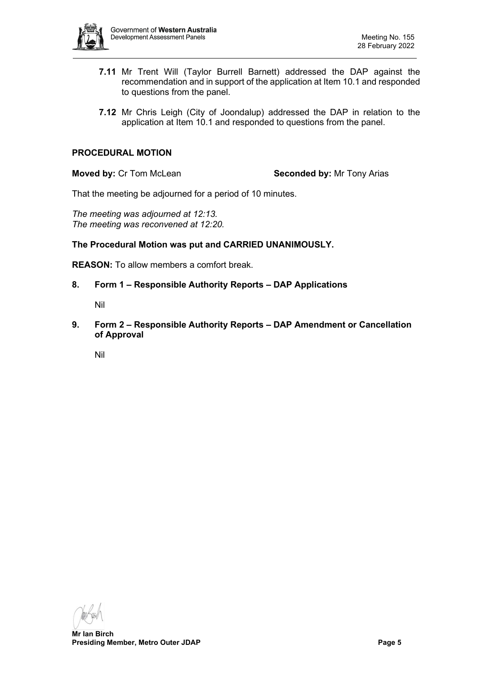

- **7.11** Mr Trent Will (Taylor Burrell Barnett) addressed the DAP against the recommendation and in support of the application at Item 10.1 and responded to questions from the panel.
- **7.12** Mr Chris Leigh (City of Joondalup) addressed the DAP in relation to the application at Item 10.1 and responded to questions from the panel.

#### **PROCEDURAL MOTION**

**Moved by: Cr Tom McLean <b>Seconded by:** Mr Tony Arias

That the meeting be adjourned for a period of 10 minutes.

*The meeting was adjourned at 12:13. The meeting was reconvened at 12:20.*

**The Procedural Motion was put and CARRIED UNANIMOUSLY.**

<span id="page-4-0"></span>**REASON:** To allow members a comfort break.

<span id="page-4-1"></span>**8. Form 1 – Responsible Authority Reports – DAP Applications**

Nil

<span id="page-4-2"></span>**9. Form 2 – Responsible Authority Reports – DAP Amendment or Cancellation of Approval**

<span id="page-4-3"></span>Nil

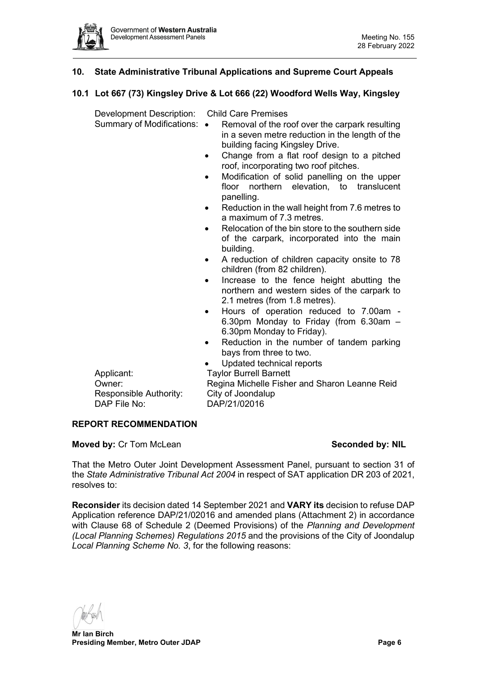

# <span id="page-5-0"></span>**10. State Administrative Tribunal Applications and Supreme Court Appeals**

## <span id="page-5-1"></span>**10.1 Lot 667 (73) Kingsley Drive & Lot 666 (22) Woodford Wells Way, Kingsley**

Development Description: Child Care Premises

- Summary of Modifications: Removal of the roof over the carpark resulting in a seven metre reduction in the length of the building facing Kingsley Drive.
	- Change from a flat roof design to a pitched roof, incorporating two roof pitches.
	- Modification of solid panelling on the upper floor northern elevation, to translucent panelling.
	- Reduction in the wall height from 7.6 metres to a maximum of 7.3 metres.
	- Relocation of the bin store to the southern side of the carpark, incorporated into the main building.
	- A reduction of children capacity onsite to 78 children (from 82 children).
	- Increase to the fence height abutting the northern and western sides of the carpark to 2.1 metres (from 1.8 metres).
	- Hours of operation reduced to 7.00am 6.30pm Monday to Friday (from 6.30am – 6.30pm Monday to Friday).
	- Reduction in the number of tandem parking bays from three to two.
		- Updated technical reports

Applicant: Taylor Burrell Barnett Responsible Authority: City of Joondalup DAP File No: DAP/21/02016

Owner: Regina Michelle Fisher and Sharon Leanne Reid

#### **REPORT RECOMMENDATION**

# **Moved by: Cr Tom McLean <b>Seconded by: NIL**

That the Metro Outer Joint Development Assessment Panel, pursuant to section 31 of the *State Administrative Tribunal Act 2004* in respect of SAT application DR 203 of 2021, resolves to:

**Reconsider** its decision dated 14 September 2021 and **VARY its** decision to refuse DAP Application reference DAP/21/02016 and amended plans (Attachment 2) in accordance with Clause 68 of Schedule 2 (Deemed Provisions) of the *Planning and Development (Local Planning Schemes) Regulations 2015* and the provisions of the City of Joondalup *Local Planning Scheme No. 3*, for the following reasons: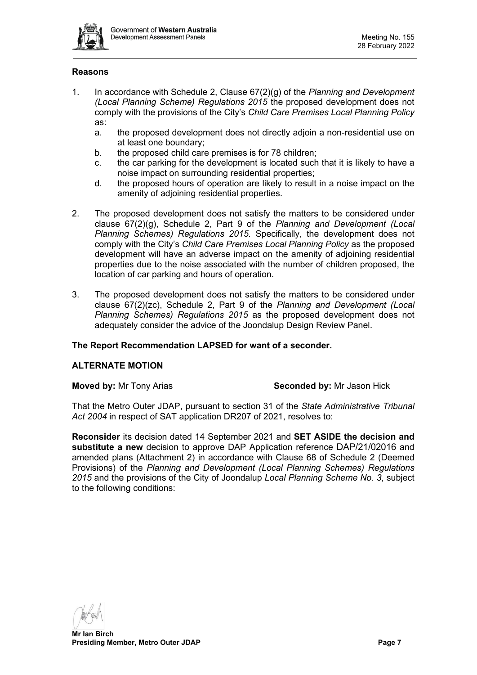

# **Reasons**

- 1. In accordance with Schedule 2, Clause 67(2)(g) of the *Planning and Development (Local Planning Scheme) Regulations 2015* the proposed development does not comply with the provisions of the City's *Child Care Premises Local Planning Policy*  as:
	- a. the proposed development does not directly adjoin a non-residential use on at least one boundary;
	- b. the proposed child care premises is for 78 children;
	- c. the car parking for the development is located such that it is likely to have a noise impact on surrounding residential properties;
	- d. the proposed hours of operation are likely to result in a noise impact on the amenity of adjoining residential properties.
- 2. The proposed development does not satisfy the matters to be considered under clause 67(2)(g), Schedule 2, Part 9 of the *Planning and Development (Local Planning Schemes) Regulations 2015.* Specifically, the development does not comply with the City's *Child Care Premises Local Planning Policy* as the proposed development will have an adverse impact on the amenity of adjoining residential properties due to the noise associated with the number of children proposed, the location of car parking and hours of operation.
- 3. The proposed development does not satisfy the matters to be considered under clause 67(2)(zc), Schedule 2, Part 9 of the *Planning and Development (Local Planning Schemes) Regulations 2015* as the proposed development does not adequately consider the advice of the Joondalup Design Review Panel.

## **The Report Recommendation LAPSED for want of a seconder.**

## **ALTERNATE MOTION**

#### **Moved by:** Mr Tony Arias **Seconded by:** Mr Jason Hick

That the Metro Outer JDAP, pursuant to section 31 of the *State Administrative Tribunal Act 2004* in respect of SAT application DR207 of 2021, resolves to:

**Reconsider** its decision dated 14 September 2021 and **SET ASIDE the decision and substitute a new** decision to approve DAP Application reference DAP/21/02016 and amended plans (Attachment 2) in accordance with Clause 68 of Schedule 2 (Deemed Provisions) of the *Planning and Development (Local Planning Schemes) Regulations 2015* and the provisions of the City of Joondalup *Local Planning Scheme No. 3*, subject to the following conditions:

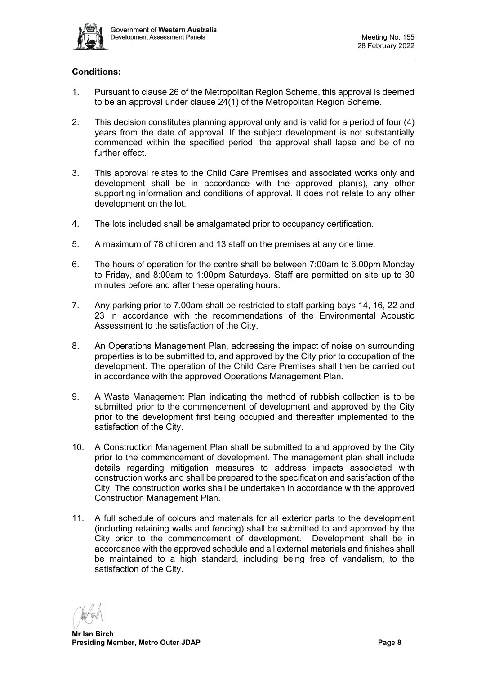

# **Conditions:**

- 1. Pursuant to clause 26 of the Metropolitan Region Scheme, this approval is deemed to be an approval under clause 24(1) of the Metropolitan Region Scheme.
- 2. This decision constitutes planning approval only and is valid for a period of four (4) years from the date of approval. If the subject development is not substantially commenced within the specified period, the approval shall lapse and be of no further effect.
- 3. This approval relates to the Child Care Premises and associated works only and development shall be in accordance with the approved plan(s), any other supporting information and conditions of approval. It does not relate to any other development on the lot.
- 4. The lots included shall be amalgamated prior to occupancy certification.
- 5. A maximum of 78 children and 13 staff on the premises at any one time.
- 6. The hours of operation for the centre shall be between 7:00am to 6.00pm Monday to Friday, and 8:00am to 1:00pm Saturdays. Staff are permitted on site up to 30 minutes before and after these operating hours.
- 7. Any parking prior to 7.00am shall be restricted to staff parking bays 14, 16, 22 and 23 in accordance with the recommendations of the Environmental Acoustic Assessment to the satisfaction of the City.
- 8. An Operations Management Plan, addressing the impact of noise on surrounding properties is to be submitted to, and approved by the City prior to occupation of the development. The operation of the Child Care Premises shall then be carried out in accordance with the approved Operations Management Plan.
- 9. A Waste Management Plan indicating the method of rubbish collection is to be submitted prior to the commencement of development and approved by the City prior to the development first being occupied and thereafter implemented to the satisfaction of the City.
- 10. A Construction Management Plan shall be submitted to and approved by the City prior to the commencement of development. The management plan shall include details regarding mitigation measures to address impacts associated with construction works and shall be prepared to the specification and satisfaction of the City. The construction works shall be undertaken in accordance with the approved Construction Management Plan.
- 11. A full schedule of colours and materials for all exterior parts to the development (including retaining walls and fencing) shall be submitted to and approved by the City prior to the commencement of development. Development shall be in accordance with the approved schedule and all external materials and finishes shall be maintained to a high standard, including being free of vandalism, to the satisfaction of the City.

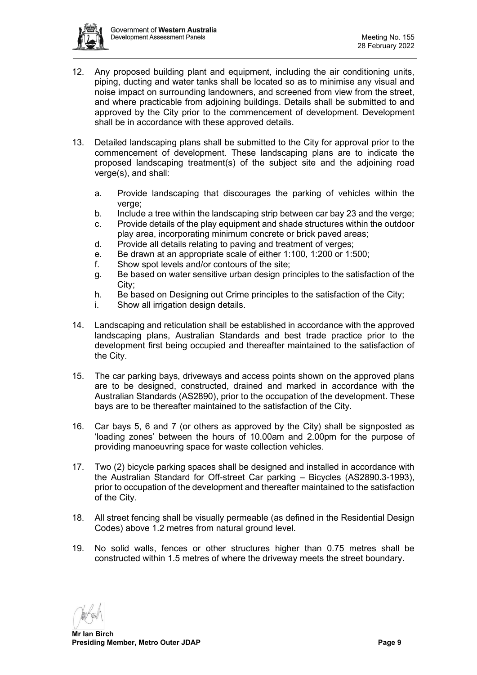

- 12. Any proposed building plant and equipment, including the air conditioning units, piping, ducting and water tanks shall be located so as to minimise any visual and noise impact on surrounding landowners, and screened from view from the street, and where practicable from adjoining buildings. Details shall be submitted to and approved by the City prior to the commencement of development. Development shall be in accordance with these approved details.
- 13. Detailed landscaping plans shall be submitted to the City for approval prior to the commencement of development. These landscaping plans are to indicate the proposed landscaping treatment(s) of the subject site and the adjoining road verge(s), and shall:
	- a. Provide landscaping that discourages the parking of vehicles within the verge;
	- b. Include a tree within the landscaping strip between car bay 23 and the verge;
	- c. Provide details of the play equipment and shade structures within the outdoor play area, incorporating minimum concrete or brick paved areas;
	- d. Provide all details relating to paving and treatment of verges;
	- e. Be drawn at an appropriate scale of either 1:100, 1:200 or 1:500;
	- f. Show spot levels and/or contours of the site;
	- g. Be based on water sensitive urban design principles to the satisfaction of the City;
	- h. Be based on Designing out Crime principles to the satisfaction of the City;
	- i. Show all irrigation design details.
- 14. Landscaping and reticulation shall be established in accordance with the approved landscaping plans, Australian Standards and best trade practice prior to the development first being occupied and thereafter maintained to the satisfaction of the City.
- 15. The car parking bays, driveways and access points shown on the approved plans are to be designed, constructed, drained and marked in accordance with the Australian Standards (AS2890), prior to the occupation of the development. These bays are to be thereafter maintained to the satisfaction of the City.
- 16. Car bays 5, 6 and 7 (or others as approved by the City) shall be signposted as 'loading zones' between the hours of 10.00am and 2.00pm for the purpose of providing manoeuvring space for waste collection vehicles.
- 17. Two (2) bicycle parking spaces shall be designed and installed in accordance with the Australian Standard for Off-street Car parking – Bicycles (AS2890.3-1993), prior to occupation of the development and thereafter maintained to the satisfaction of the City.
- 18. All street fencing shall be visually permeable (as defined in the Residential Design Codes) above 1.2 metres from natural ground level.
- 19. No solid walls, fences or other structures higher than 0.75 metres shall be constructed within 1.5 metres of where the driveway meets the street boundary.

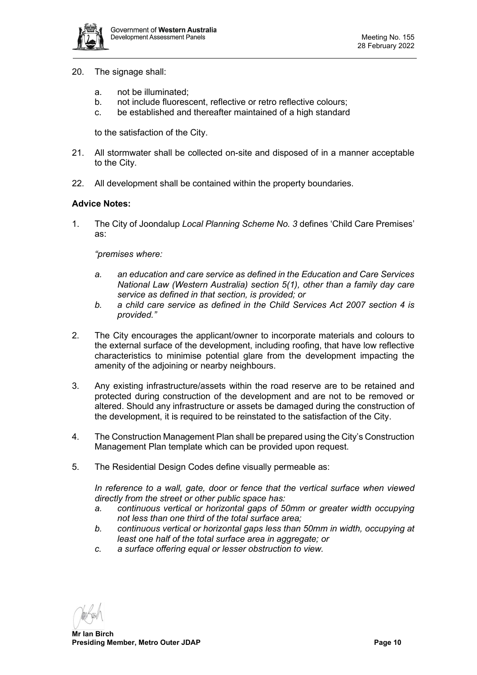

- 20. The signage shall:
	- a. not be illuminated;
	- b. not include fluorescent, reflective or retro reflective colours;
	- c. be established and thereafter maintained of a high standard

to the satisfaction of the City.

- 21. All stormwater shall be collected on-site and disposed of in a manner acceptable to the City.
- 22. All development shall be contained within the property boundaries.

#### **Advice Notes:**

1. The City of Joondalup *Local Planning Scheme No. 3* defines 'Child Care Premises' as:

*"premises where:*

- *a. an education and care service as defined in the Education and Care Services National Law (Western Australia) section 5(1), other than a family day care service as defined in that section, is provided; or*
- *b. a child care service as defined in the Child Services Act 2007 section 4 is provided."*
- 2. The City encourages the applicant/owner to incorporate materials and colours to the external surface of the development, including roofing, that have low reflective characteristics to minimise potential glare from the development impacting the amenity of the adjoining or nearby neighbours.
- 3. Any existing infrastructure/assets within the road reserve are to be retained and protected during construction of the development and are not to be removed or altered. Should any infrastructure or assets be damaged during the construction of the development, it is required to be reinstated to the satisfaction of the City.
- 4. The Construction Management Plan shall be prepared using the City's Construction Management Plan template which can be provided upon request.
- 5. The Residential Design Codes define visually permeable as:

*In reference to a wall, gate, door or fence that the vertical surface when viewed directly from the street or other public space has:*

- *a. continuous vertical or horizontal gaps of 50mm or greater width occupying not less than one third of the total surface area;*
- *b. continuous vertical or horizontal gaps less than 50mm in width, occupying at least one half of the total surface area in aggregate; or*
- *c. a surface offering equal or lesser obstruction to view.*

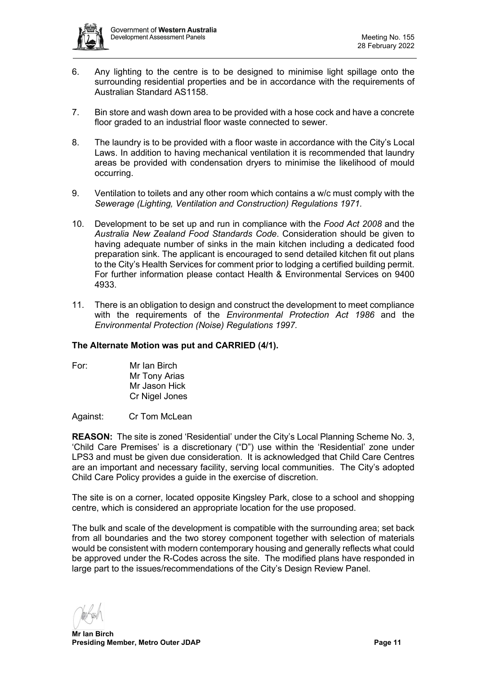

- 6. Any lighting to the centre is to be designed to minimise light spillage onto the surrounding residential properties and be in accordance with the requirements of Australian Standard AS1158.
- 7. Bin store and wash down area to be provided with a hose cock and have a concrete floor graded to an industrial floor waste connected to sewer.
- 8. The laundry is to be provided with a floor waste in accordance with the City's Local Laws. In addition to having mechanical ventilation it is recommended that laundry areas be provided with condensation dryers to minimise the likelihood of mould occurring.
- 9. Ventilation to toilets and any other room which contains a w/c must comply with the *Sewerage (Lighting, Ventilation and Construction) Regulations 1971.*
- 10. Development to be set up and run in compliance with the *Food Act 2008* and the *Australia New Zealand Food Standards Code*. Consideration should be given to having adequate number of sinks in the main kitchen including a dedicated food preparation sink. The applicant is encouraged to send detailed kitchen fit out plans to the City's Health Services for comment prior to lodging a certified building permit. For further information please contact Health & Environmental Services on 9400 4933.
- 11. There is an obligation to design and construct the development to meet compliance with the requirements of the *Environmental Protection Act 1986* and the *Environmental Protection (Noise) Regulations 1997.*

## **The Alternate Motion was put and CARRIED (4/1).**

For: Mr Ian Birch Mr Tony Arias Mr Jason Hick Cr Nigel Jones

Against: Cr Tom McLean

**REASON:** The site is zoned 'Residential' under the City's Local Planning Scheme No. 3, 'Child Care Premises' is a discretionary ("D") use within the 'Residential' zone under LPS3 and must be given due consideration. It is acknowledged that Child Care Centres are an important and necessary facility, serving local communities. The City's adopted Child Care Policy provides a guide in the exercise of discretion.

The site is on a corner, located opposite Kingsley Park, close to a school and shopping centre, which is considered an appropriate location for the use proposed.

The bulk and scale of the development is compatible with the surrounding area; set back from all boundaries and the two storey component together with selection of materials would be consistent with modern contemporary housing and generally reflects what could be approved under the R-Codes across the site. The modified plans have responded in large part to the issues/recommendations of the City's Design Review Panel.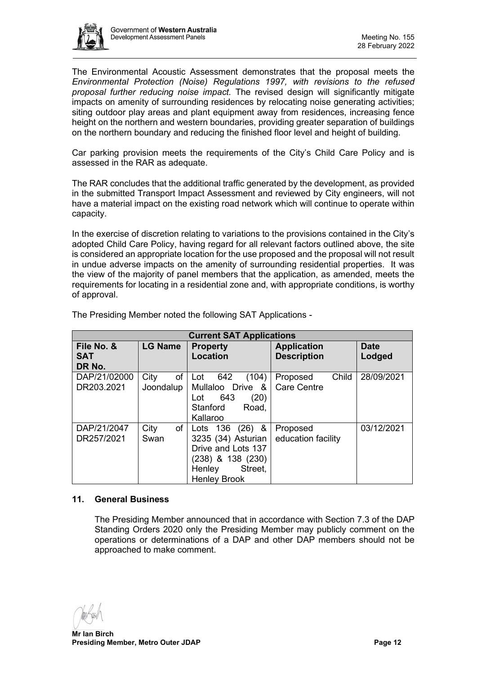

The Environmental Acoustic Assessment demonstrates that the proposal meets the *Environmental Protection (Noise) Regulations 1997, with revisions to the refused proposal further reducing noise impact.* The revised design will significantly mitigate impacts on amenity of surrounding residences by relocating noise generating activities; siting outdoor play areas and plant equipment away from residences, increasing fence height on the northern and western boundaries, providing greater separation of buildings on the northern boundary and reducing the finished floor level and height of building.

Car parking provision meets the requirements of the City's Child Care Policy and is assessed in the RAR as adequate.

The RAR concludes that the additional traffic generated by the development, as provided in the submitted Transport Impact Assessment and reviewed by City engineers, will not have a material impact on the existing road network which will continue to operate within capacity.

In the exercise of discretion relating to variations to the provisions contained in the City's adopted Child Care Policy, having regard for all relevant factors outlined above, the site is considered an appropriate location for the use proposed and the proposal will not result in undue adverse impacts on the amenity of surrounding residential properties. It was the view of the majority of panel members that the application, as amended, meets the requirements for locating in a residential zone and, with appropriate conditions, is worthy of approval.

| <b>Current SAT Applications</b> |                         |                                                                                                                                      |                                          |                       |  |  |
|---------------------------------|-------------------------|--------------------------------------------------------------------------------------------------------------------------------------|------------------------------------------|-----------------------|--|--|
| File No. &<br><b>SAT</b>        | <b>LG Name</b>          | <b>Property</b><br><b>Location</b>                                                                                                   | <b>Application</b><br><b>Description</b> | <b>Date</b><br>Lodged |  |  |
| DR No.                          |                         |                                                                                                                                      |                                          |                       |  |  |
| DAP/21/02000<br>DR203.2021      | of<br>City<br>Joondalup | (104)<br>642<br>Lot<br>Mullaloo Drive &<br>643<br>(20)<br>Lot<br>Stanford<br>Road,<br>Kallaroo                                       | Child<br>Proposed<br><b>Care Centre</b>  | 28/09/2021            |  |  |
| DAP/21/2047<br>DR257/2021       | City<br>of<br>Swan      | &<br>Lots $136$<br>(26)<br>3235 (34) Asturian<br>Drive and Lots 137<br>(238) & 138 (230)<br>Street,<br>Henley<br><b>Henley Brook</b> | Proposed<br>education facility           | 03/12/2021            |  |  |

The Presiding Member noted the following SAT Applications -

#### <span id="page-11-0"></span>**11. General Business**

The Presiding Member announced that in accordance with Section 7.3 of the DAP Standing Orders 2020 only the Presiding Member may publicly comment on the operations or determinations of a DAP and other DAP members should not be approached to make comment.